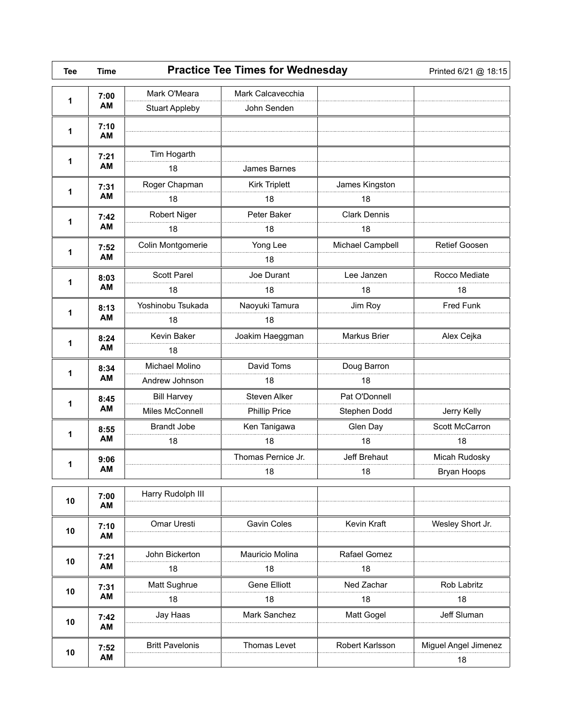| <b>Tee</b> | <b>Time</b>       | <b>Practice Tee Times for Wednesday</b> |                      |                     | Printed 6/21 @ 18:15       |
|------------|-------------------|-----------------------------------------|----------------------|---------------------|----------------------------|
| 1          | 7:00              | Mark O'Meara                            | Mark Calcavecchia    |                     |                            |
|            | AM                | <b>Stuart Appleby</b>                   | John Senden          |                     |                            |
| 1          | 7:10<br>AM        |                                         |                      |                     |                            |
| 1          | 7:21<br>AM        | Tim Hogarth<br>18                       | James Barnes         |                     |                            |
|            | 7:31<br>AM        | Roger Chapman                           | <b>Kirk Triplett</b> | James Kingston      |                            |
| 1          |                   | 18                                      | 18                   | 18                  |                            |
|            | 7:42<br>AM        | Robert Niger                            | Peter Baker          | <b>Clark Dennis</b> |                            |
| 1          |                   | 18                                      | 18                   | 18                  |                            |
| 1          | 7:52<br>AM        | Colin Montgomerie                       | Yong Lee<br>18       | Michael Campbell    | <b>Retief Goosen</b>       |
|            | 8:03              | <b>Scott Parel</b>                      | Joe Durant           | Lee Janzen          | Rocco Mediate              |
| 1          | AM                | 18                                      | 18                   | 18                  | 18                         |
|            | 8:13              | Yoshinobu Tsukada                       | Naoyuki Tamura       | Jim Roy             | Fred Funk                  |
| 1          | AM                | 18                                      | 18                   |                     |                            |
|            | 8:24              | Kevin Baker                             | Joakim Haeggman      | Markus Brier        | Alex Cejka                 |
| 1          | AM                | 18                                      |                      |                     |                            |
|            | 8:34<br>AM        | Michael Molino                          | David Toms           | Doug Barron         |                            |
| 1          |                   | Andrew Johnson                          | 18                   | 18                  |                            |
|            | 8:45<br><b>AM</b> | <b>Bill Harvey</b>                      | Steven Alker         | Pat O'Donnell       |                            |
| 1          |                   | Miles McConnell                         | <b>Phillip Price</b> | Stephen Dodd        | Jerry Kelly                |
|            | 8:55<br>AM        | <b>Brandt Jobe</b>                      | Ken Tanigawa         | Glen Day            | Scott McCarron             |
| 1          |                   | 18                                      | 18                   | 18                  | 18                         |
| 1          | 9:06<br>AM        |                                         | Thomas Pernice Jr.   | Jeff Brehaut        | Micah Rudosky              |
|            |                   |                                         | 18                   | 18                  | Bryan Hoops                |
| 10         | 7:00<br>AM        | Harry Rudolph III                       |                      |                     |                            |
| 10         | 7:10<br>AM        | Omar Uresti                             | Gavin Coles          | Kevin Kraft         | Wesley Short Jr.           |
|            | 7:21<br>AM        | John Bickerton                          | Mauricio Molina      | Rafael Gomez        |                            |
| 10         |                   | 18                                      | 18                   | 18                  |                            |
|            | 7:31<br>AM        | Matt Sughrue                            | <b>Gene Elliott</b>  | Ned Zachar          | Rob Labritz                |
| 10         |                   | 18                                      | 18                   | 18                  | 18                         |
| 10         | 7:42<br>AM        | Jay Haas                                | Mark Sanchez         | Matt Gogel          | Jeff Sluman                |
| 10         | 7:52<br>AM        | <b>Britt Pavelonis</b>                  | Thomas Levet         | Robert Karlsson     | Miguel Angel Jimenez<br>18 |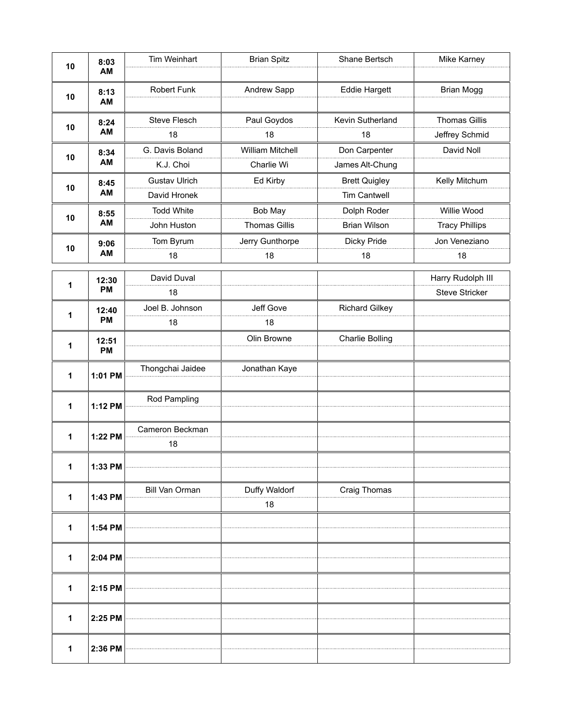| 10 | 8:03<br>AM         | Tim Weinhart                         | <b>Brian Spitz</b>                    | Shane Bertsch                               | Mike Karney                                |
|----|--------------------|--------------------------------------|---------------------------------------|---------------------------------------------|--------------------------------------------|
| 10 | 8:13<br>AM         | Robert Funk                          | Andrew Sapp                           | <b>Eddie Hargett</b>                        | <b>Brian Mogg</b>                          |
| 10 | 8:24<br>AM         | Steve Flesch<br>18                   | Paul Goydos<br>18                     | Kevin Sutherland<br>18                      | <b>Thomas Gillis</b><br>Jeffrey Schmid     |
| 10 | 8:34<br>AM         | G. Davis Boland<br>K.J. Choi         | <b>William Mitchell</b><br>Charlie Wi | Don Carpenter<br>James Alt-Chung            | David Noll                                 |
| 10 | 8:45<br>AM         | <b>Gustav Ulrich</b><br>David Hronek | Ed Kirby                              | <b>Brett Quigley</b><br><b>Tim Cantwell</b> | Kelly Mitchum                              |
| 10 | 8:55<br>AM         | <b>Todd White</b><br>John Huston     | Bob May<br><b>Thomas Gillis</b>       | Dolph Roder<br><b>Brian Wilson</b>          | Willie Wood<br><b>Tracy Phillips</b>       |
| 10 | 9:06<br>AM         | Tom Byrum<br>18                      | Jerry Gunthorpe<br>18                 | Dicky Pride<br>18                           | Jon Veneziano<br>18                        |
| 1  | 12:30<br><b>PM</b> | David Duval<br>18                    |                                       |                                             | Harry Rudolph III<br><b>Steve Stricker</b> |
| 1  | 12:40<br><b>PM</b> | Joel B. Johnson<br>18                | Jeff Gove<br>18                       | <b>Richard Gilkey</b>                       |                                            |
| 1  | 12:51<br><b>PM</b> |                                      | Olin Browne                           | <b>Charlie Bolling</b>                      |                                            |
| 1  | 1:01 PM            | Thongchai Jaidee                     | Jonathan Kaye                         |                                             |                                            |
| 1  | 1:12 PM            | Rod Pampling                         |                                       |                                             |                                            |
| 1  | 1:22 PM            | Cameron Beckman<br>18                |                                       |                                             |                                            |
| 1  | 1:33 PM            |                                      |                                       |                                             |                                            |
| 1  | 1:43 PM            | Bill Van Orman                       | Duffy Waldorf<br>18                   | Craig Thomas                                |                                            |
| 1  | 1:54 PM            |                                      |                                       |                                             |                                            |
| 1  | 2:04 PM            |                                      |                                       |                                             |                                            |
| 1  | 2:15 PM            |                                      |                                       |                                             |                                            |
| 1  | 2:25 PM            |                                      |                                       |                                             |                                            |
| 1  | 2:36 PM            |                                      |                                       |                                             |                                            |